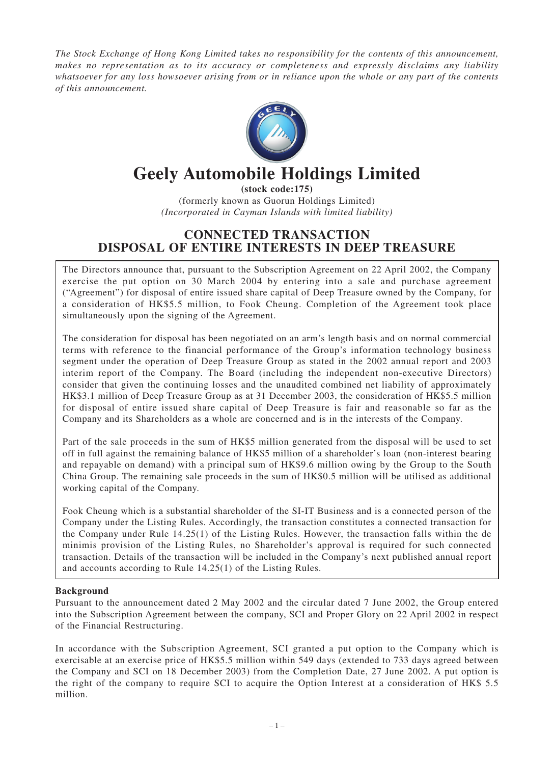*The Stock Exchange of Hong Kong Limited takes no responsibility for the contents of this announcement, makes no representation as to its accuracy or completeness and expressly disclaims any liability whatsoever for any loss howsoever arising from or in reliance upon the whole or any part of the contents of this announcement.*



# **Geely Automobile Holdings Limited**

**(stock code:175)** (formerly known as Guorun Holdings Limited) *(Incorporated in Cayman Islands with limited liability)*

# **CONNECTED TRANSACTION DISPOSAL OF ENTIRE INTERESTS IN DEEP TREASURE**

The Directors announce that, pursuant to the Subscription Agreement on 22 April 2002, the Company exercise the put option on 30 March 2004 by entering into a sale and purchase agreement ("Agreement") for disposal of entire issued share capital of Deep Treasure owned by the Company, for a consideration of HK\$5.5 million, to Fook Cheung. Completion of the Agreement took place simultaneously upon the signing of the Agreement.

The consideration for disposal has been negotiated on an arm's length basis and on normal commercial terms with reference to the financial performance of the Group's information technology business segment under the operation of Deep Treasure Group as stated in the 2002 annual report and 2003 interim report of the Company. The Board (including the independent non-executive Directors) consider that given the continuing losses and the unaudited combined net liability of approximately HK\$3.1 million of Deep Treasure Group as at 31 December 2003, the consideration of HK\$5.5 million for disposal of entire issued share capital of Deep Treasure is fair and reasonable so far as the Company and its Shareholders as a whole are concerned and is in the interests of the Company.

Part of the sale proceeds in the sum of HK\$5 million generated from the disposal will be used to set off in full against the remaining balance of HK\$5 million of a shareholder's loan (non-interest bearing and repayable on demand) with a principal sum of HK\$9.6 million owing by the Group to the South China Group. The remaining sale proceeds in the sum of HK\$0.5 million will be utilised as additional working capital of the Company.

Fook Cheung which is a substantial shareholder of the SI-IT Business and is a connected person of the Company under the Listing Rules. Accordingly, the transaction constitutes a connected transaction for the Company under Rule 14.25(1) of the Listing Rules. However, the transaction falls within the de minimis provision of the Listing Rules, no Shareholder's approval is required for such connected transaction. Details of the transaction will be included in the Company's next published annual report and accounts according to Rule 14.25(1) of the Listing Rules.

# **Background**

Pursuant to the announcement dated 2 May 2002 and the circular dated 7 June 2002, the Group entered into the Subscription Agreement between the company, SCI and Proper Glory on 22 April 2002 in respect of the Financial Restructuring.

In accordance with the Subscription Agreement, SCI granted a put option to the Company which is exercisable at an exercise price of HK\$5.5 million within 549 days (extended to 733 days agreed between the Company and SCI on 18 December 2003) from the Completion Date, 27 June 2002. A put option is the right of the company to require SCI to acquire the Option Interest at a consideration of HK\$ 5.5 million.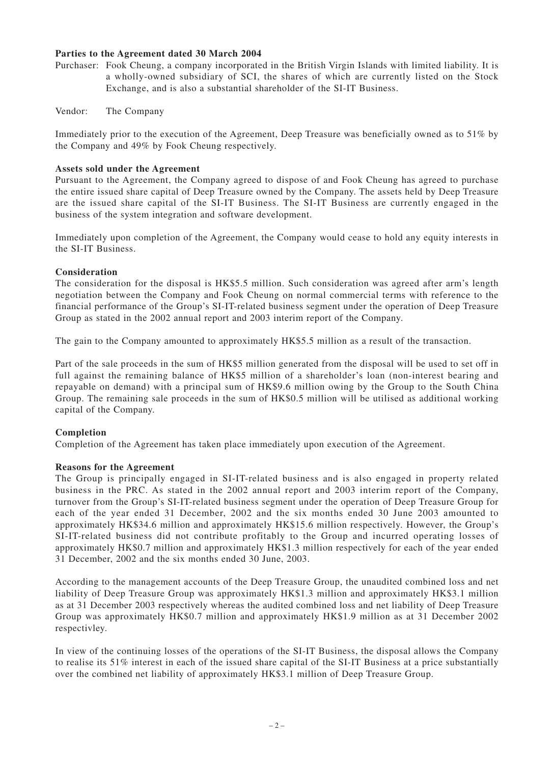# **Parties to the Agreement dated 30 March 2004**

- Purchaser: Fook Cheung, a company incorporated in the British Virgin Islands with limited liability. It is a wholly-owned subsidiary of SCI, the shares of which are currently listed on the Stock Exchange, and is also a substantial shareholder of the SI-IT Business.
- Vendor: The Company

Immediately prior to the execution of the Agreement, Deep Treasure was beneficially owned as to 51% by the Company and 49% by Fook Cheung respectively.

#### **Assets sold under the Agreement**

Pursuant to the Agreement, the Company agreed to dispose of and Fook Cheung has agreed to purchase the entire issued share capital of Deep Treasure owned by the Company. The assets held by Deep Treasure are the issued share capital of the SI-IT Business. The SI-IT Business are currently engaged in the business of the system integration and software development.

Immediately upon completion of the Agreement, the Company would cease to hold any equity interests in the SI-IT Business.

# **Consideration**

The consideration for the disposal is HK\$5.5 million. Such consideration was agreed after arm's length negotiation between the Company and Fook Cheung on normal commercial terms with reference to the financial performance of the Group's SI-IT-related business segment under the operation of Deep Treasure Group as stated in the 2002 annual report and 2003 interim report of the Company.

The gain to the Company amounted to approximately HK\$5.5 million as a result of the transaction.

Part of the sale proceeds in the sum of HK\$5 million generated from the disposal will be used to set off in full against the remaining balance of HK\$5 million of a shareholder's loan (non-interest bearing and repayable on demand) with a principal sum of HK\$9.6 million owing by the Group to the South China Group. The remaining sale proceeds in the sum of HK\$0.5 million will be utilised as additional working capital of the Company.

# **Completion**

Completion of the Agreement has taken place immediately upon execution of the Agreement.

#### **Reasons for the Agreement**

The Group is principally engaged in SI-IT-related business and is also engaged in property related business in the PRC. As stated in the 2002 annual report and 2003 interim report of the Company, turnover from the Group's SI-IT-related business segment under the operation of Deep Treasure Group for each of the year ended 31 December, 2002 and the six months ended 30 June 2003 amounted to approximately HK\$34.6 million and approximately HK\$15.6 million respectively. However, the Group's SI-IT-related business did not contribute profitably to the Group and incurred operating losses of approximately HK\$0.7 million and approximately HK\$1.3 million respectively for each of the year ended 31 December, 2002 and the six months ended 30 June, 2003.

According to the management accounts of the Deep Treasure Group, the unaudited combined loss and net liability of Deep Treasure Group was approximately HK\$1.3 million and approximately HK\$3.1 million as at 31 December 2003 respectively whereas the audited combined loss and net liability of Deep Treasure Group was approximately HK\$0.7 million and approximately HK\$1.9 million as at 31 December 2002 respectivley.

In view of the continuing losses of the operations of the SI-IT Business, the disposal allows the Company to realise its 51% interest in each of the issued share capital of the SI-IT Business at a price substantially over the combined net liability of approximately HK\$3.1 million of Deep Treasure Group.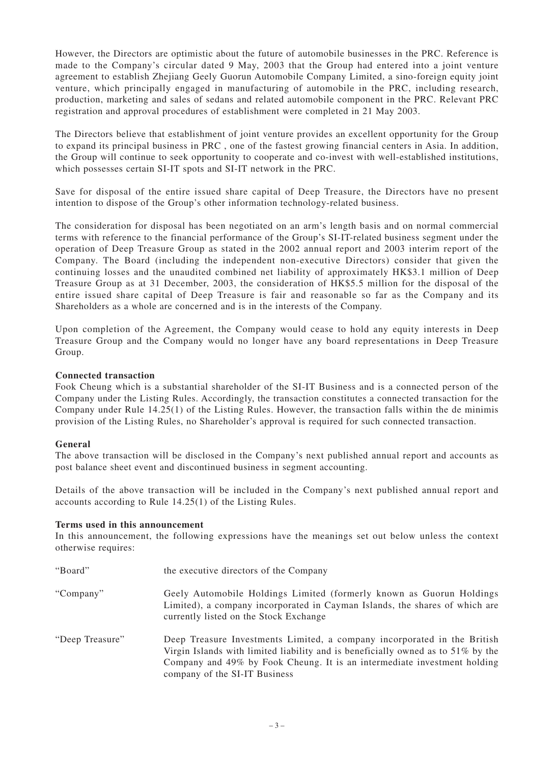However, the Directors are optimistic about the future of automobile businesses in the PRC. Reference is made to the Company's circular dated 9 May, 2003 that the Group had entered into a joint venture agreement to establish Zhejiang Geely Guorun Automobile Company Limited, a sino-foreign equity joint venture, which principally engaged in manufacturing of automobile in the PRC, including research, production, marketing and sales of sedans and related automobile component in the PRC. Relevant PRC registration and approval procedures of establishment were completed in 21 May 2003.

The Directors believe that establishment of joint venture provides an excellent opportunity for the Group to expand its principal business in PRC , one of the fastest growing financial centers in Asia. In addition, the Group will continue to seek opportunity to cooperate and co-invest with well-established institutions, which possesses certain SI-IT spots and SI-IT network in the PRC.

Save for disposal of the entire issued share capital of Deep Treasure, the Directors have no present intention to dispose of the Group's other information technology-related business.

The consideration for disposal has been negotiated on an arm's length basis and on normal commercial terms with reference to the financial performance of the Group's SI-IT-related business segment under the operation of Deep Treasure Group as stated in the 2002 annual report and 2003 interim report of the Company. The Board (including the independent non-executive Directors) consider that given the continuing losses and the unaudited combined net liability of approximately HK\$3.1 million of Deep Treasure Group as at 31 December, 2003, the consideration of HK\$5.5 million for the disposal of the entire issued share capital of Deep Treasure is fair and reasonable so far as the Company and its Shareholders as a whole are concerned and is in the interests of the Company.

Upon completion of the Agreement, the Company would cease to hold any equity interests in Deep Treasure Group and the Company would no longer have any board representations in Deep Treasure Group.

#### **Connected transaction**

Fook Cheung which is a substantial shareholder of the SI-IT Business and is a connected person of the Company under the Listing Rules. Accordingly, the transaction constitutes a connected transaction for the Company under Rule 14.25(1) of the Listing Rules. However, the transaction falls within the de minimis provision of the Listing Rules, no Shareholder's approval is required for such connected transaction.

#### **General**

The above transaction will be disclosed in the Company's next published annual report and accounts as post balance sheet event and discontinued business in segment accounting.

Details of the above transaction will be included in the Company's next published annual report and accounts according to Rule 14.25(1) of the Listing Rules.

#### **Terms used in this announcement**

In this announcement, the following expressions have the meanings set out below unless the context otherwise requires:

| "Board"         | the executive directors of the Company                                                                                                                                                                                                                                       |
|-----------------|------------------------------------------------------------------------------------------------------------------------------------------------------------------------------------------------------------------------------------------------------------------------------|
| "Company"       | Geely Automobile Holdings Limited (formerly known as Guorun Holdings<br>Limited), a company incorporated in Cayman Islands, the shares of which are<br>currently listed on the Stock Exchange                                                                                |
| "Deep Treasure" | Deep Treasure Investments Limited, a company incorporated in the British<br>Virgin Islands with limited liability and is beneficially owned as to $51\%$ by the<br>Company and 49% by Fook Cheung. It is an intermediate investment holding<br>company of the SI-IT Business |